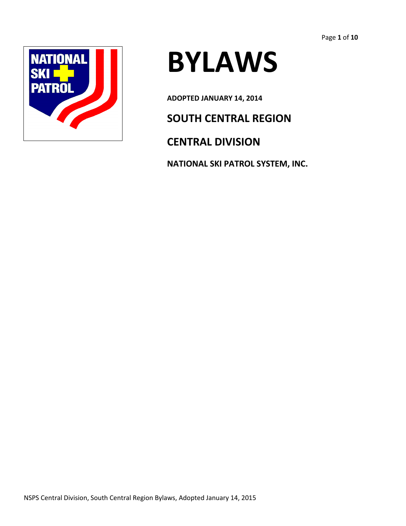

# **BYLAWS**

**ADOPTED JANUARY 14, 2014**

## **SOUTH CENTRAL REGION**

## **CENTRAL DIVISION**

**NATIONAL SKI PATROL SYSTEM, INC.**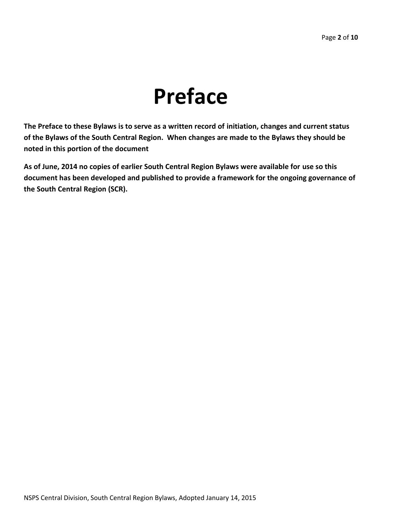## **Preface**

**The Preface to these Bylaws is to serve as a written record of initiation, changes and current status of the Bylaws of the South Central Region. When changes are made to the Bylaws they should be noted in this portion of the document**

**As of June, 2014 no copies of earlier South Central Region Bylaws were available for use so this document has been developed and published to provide a framework for the ongoing governance of the South Central Region (SCR).**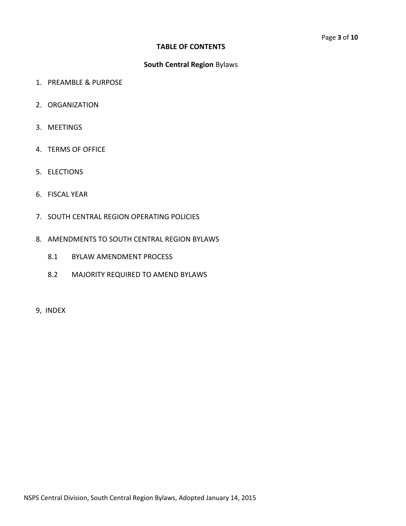#### **TABLE OF CONTENTS**

#### **South Central Region** Bylaws

- 1. PREAMBLE & PURPOSE
- 2. ORGANIZATION
- 3. MEETINGS
- 4. TERMS OF OFFICE
- 5. ELECTIONS
- 6. FISCAL YEAR
- 7. SOUTH CENTRAL REGION OPERATING POLICIES
- 8. AMENDMENTS TO SOUTH CENTRAL REGION BYLAWS
	- 8.1 BYLAW AMENDMENT PROCESS
	- 8.2 MAJORITY REQUIRED TO AMEND BYLAWS
- 9, INDEX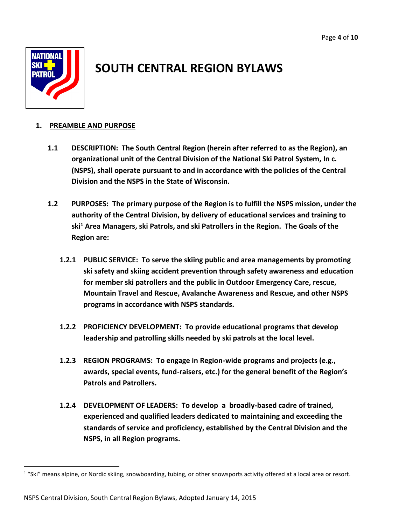

## **SOUTH CENTRAL REGION BYLAWS**

#### **1. PREAMBLE AND PURPOSE**

- **1.1 DESCRIPTION: The South Central Region (herein after referred to as the Region), an organizational unit of the Central Division of the National Ski Patrol System, In c. (NSPS), shall operate pursuant to and in accordance with the policies of the Central Division and the NSPS in the State of Wisconsin.**
- **1.2 PURPOSES: The primary purpose of the Region is to fulfill the NSPS mission, under the authority of the Central Division, by delivery of educational services and training to ski<sup>1</sup> Area Managers, ski Patrols, and ski Patrollers in the Region. The Goals of the Region are:**
	- **1.2.1 PUBLIC SERVICE: To serve the skiing public and area managements by promoting ski safety and skiing accident prevention through safety awareness and education for member ski patrollers and the public in Outdoor Emergency Care, rescue, Mountain Travel and Rescue, Avalanche Awareness and Rescue, and other NSPS programs in accordance with NSPS standards.**
	- **1.2.2 PROFICIENCY DEVELOPMENT: To provide educational programs that develop leadership and patrolling skills needed by ski patrols at the local level.**
	- **1.2.3 REGION PROGRAMS: To engage in Region-wide programs and projects (e.g., awards, special events, fund-raisers, etc.) for the general benefit of the Region's Patrols and Patrollers.**
	- **1.2.4 DEVELOPMENT OF LEADERS: To develop a broadly-based cadre of trained, experienced and qualified leaders dedicated to maintaining and exceeding the standards of service and proficiency, established by the Central Division and the NSPS, in all Region programs.**

 $1$  "Ski" means alpine, or Nordic skiing, snowboarding, tubing, or other snowsports activity offered at a local area or resort.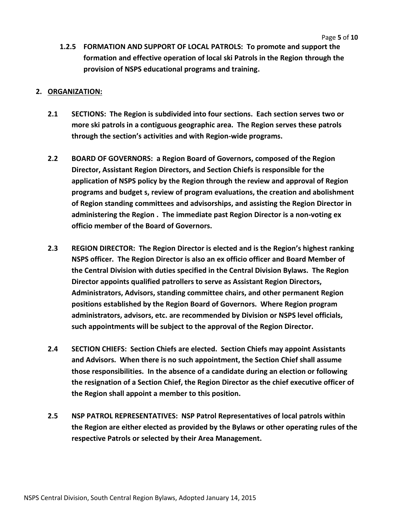**1.2.5 FORMATION AND SUPPORT OF LOCAL PATROLS: To promote and support the formation and effective operation of local ski Patrols in the Region through the provision of NSPS educational programs and training.**

#### **2. ORGANIZATION:**

- **2.1 SECTIONS: The Region is subdivided into four sections. Each section serves two or more ski patrols in a contiguous geographic area. The Region serves these patrols through the section's activities and with Region-wide programs.**
- **2.2 BOARD OF GOVERNORS: a Region Board of Governors, composed of the Region Director, Assistant Region Directors, and Section Chiefs is responsible for the application of NSPS policy by the Region through the review and approval of Region programs and budget s, review of program evaluations, the creation and abolishment of Region standing committees and advisorships, and assisting the Region Director in administering the Region . The immediate past Region Director is a non-voting ex officio member of the Board of Governors.**
- **2.3 REGION DIRECTOR: The Region Director is elected and is the Region's highest ranking NSPS officer. The Region Director is also an ex officio officer and Board Member of the Central Division with duties specified in the Central Division Bylaws. The Region Director appoints qualified patrollers to serve as Assistant Region Directors, Administrators, Advisors, standing committee chairs, and other permanent Region positions established by the Region Board of Governors. Where Region program administrators, advisors, etc. are recommended by Division or NSPS level officials, such appointments will be subject to the approval of the Region Director.**
- **2.4 SECTION CHIEFS: Section Chiefs are elected. Section Chiefs may appoint Assistants and Advisors. When there is no such appointment, the Section Chief shall assume those responsibilities. In the absence of a candidate during an election or following the resignation of a Section Chief, the Region Director as the chief executive officer of the Region shall appoint a member to this position.**
- **2.5 NSP PATROL REPRESENTATIVES: NSP Patrol Representatives of local patrols within the Region are either elected as provided by the Bylaws or other operating rules of the respective Patrols or selected by their Area Management.**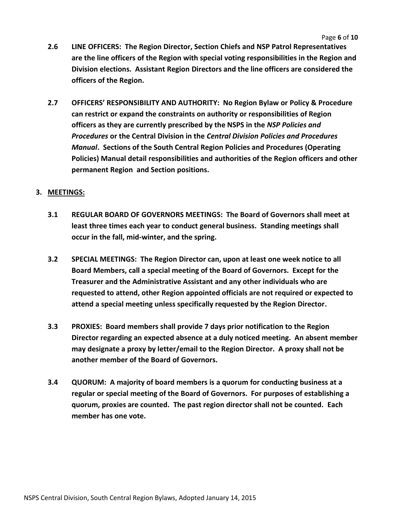- **2.6 LINE OFFICERS: The Region Director, Section Chiefs and NSP Patrol Representatives are the line officers of the Region with special voting responsibilities in the Region and Division elections. Assistant Region Directors and the line officers are considered the officers of the Region.**
- **2.7 OFFICERS' RESPONSIBILITY AND AUTHORITY: No Region Bylaw or Policy & Procedure can restrict or expand the constraints on authority or responsibilities of Region officers as they are currently prescribed by the NSPS in the** *NSP Policies and Procedures* **or the Central Division in the** *Central Division Policies and Procedures Manual***. Sections of the South Central Region Policies and Procedures (Operating Policies) Manual detail responsibilities and authorities of the Region officers and other permanent Region and Section positions.**

#### **3. MEETINGS:**

- **3.1 REGULAR BOARD OF GOVERNORS MEETINGS: The Board of Governors shall meet at least three times each year to conduct general business. Standing meetings shall occur in the fall, mid-winter, and the spring.**
- **3.2 SPECIAL MEETINGS: The Region Director can, upon at least one week notice to all Board Members, call a special meeting of the Board of Governors. Except for the Treasurer and the Administrative Assistant and any other individuals who are requested to attend, other Region appointed officials are not required or expected to attend a special meeting unless specifically requested by the Region Director.**
- **3.3 PROXIES: Board members shall provide 7 days prior notification to the Region Director regarding an expected absence at a duly noticed meeting. An absent member may designate a proxy by letter/email to the Region Director. A proxy shall not be another member of the Board of Governors.**
- **3.4 QUORUM: A majority of board members is a quorum for conducting business at a regular or special meeting of the Board of Governors. For purposes of establishing a quorum, proxies are counted. The past region director shall not be counted. Each member has one vote.**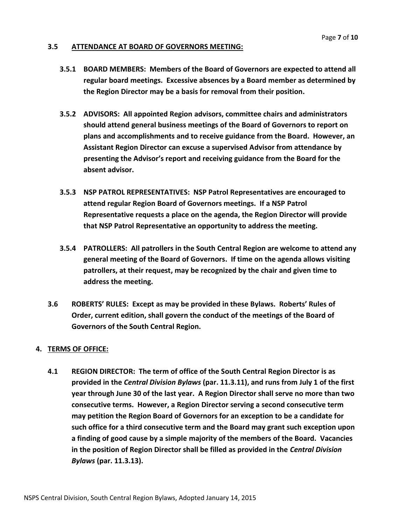#### **3.5 ATTENDANCE AT BOARD OF GOVERNORS MEETING:**

- **3.5.1 BOARD MEMBERS: Members of the Board of Governors are expected to attend all regular board meetings. Excessive absences by a Board member as determined by the Region Director may be a basis for removal from their position.**
- **3.5.2 ADVISORS: All appointed Region advisors, committee chairs and administrators should attend general business meetings of the Board of Governors to report on plans and accomplishments and to receive guidance from the Board. However, an Assistant Region Director can excuse a supervised Advisor from attendance by presenting the Advisor's report and receiving guidance from the Board for the absent advisor.**
- **3.5.3 NSP PATROL REPRESENTATIVES: NSP Patrol Representatives are encouraged to attend regular Region Board of Governors meetings. If a NSP Patrol Representative requests a place on the agenda, the Region Director will provide that NSP Patrol Representative an opportunity to address the meeting.**
- **3.5.4 PATROLLERS: All patrollers in the South Central Region are welcome to attend any general meeting of the Board of Governors. If time on the agenda allows visiting patrollers, at their request, may be recognized by the chair and given time to address the meeting.**
- **3.6 ROBERTS' RULES: Except as may be provided in these Bylaws. Roberts' Rules of Order, current edition, shall govern the conduct of the meetings of the Board of Governors of the South Central Region.**

#### **4. TERMS OF OFFICE:**

**4.1 REGION DIRECTOR: The term of office of the South Central Region Director is as provided in the** *Central Division Bylaws* **(par. 11.3.11), and runs from July 1 of the first year through June 30 of the last year. A Region Director shall serve no more than two consecutive terms. However, a Region Director serving a second consecutive term may petition the Region Board of Governors for an exception to be a candidate for such office for a third consecutive term and the Board may grant such exception upon a finding of good cause by a simple majority of the members of the Board. Vacancies in the position of Region Director shall be filled as provided in the** *Central Division Bylaws* **(par. 11.3.13).**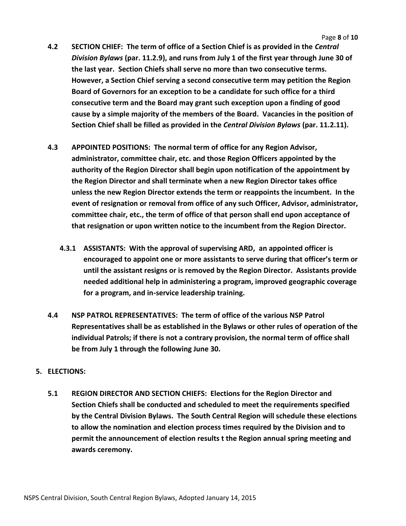- **4.2 SECTION CHIEF: The term of office of a Section Chief is as provided in the** *Central Division Bylaws* **(par. 11.2.9), and runs from July 1 of the first year through June 30 of the last year. Section Chiefs shall serve no more than two consecutive terms. However, a Section Chief serving a second consecutive term may petition the Region Board of Governors for an exception to be a candidate for such office for a third consecutive term and the Board may grant such exception upon a finding of good cause by a simple majority of the members of the Board. Vacancies in the position of Section Chief shall be filled as provided in the** *Central Division Bylaws* **(par. 11.2.11).**
- **4.3 APPOINTED POSITIONS: The normal term of office for any Region Advisor, administrator, committee chair, etc. and those Region Officers appointed by the authority of the Region Director shall begin upon notification of the appointment by the Region Director and shall terminate when a new Region Director takes office unless the new Region Director extends the term or reappoints the incumbent. In the event of resignation or removal from office of any such Officer, Advisor, administrator, committee chair, etc., the term of office of that person shall end upon acceptance of that resignation or upon written notice to the incumbent from the Region Director.**
	- **4.3.1 ASSISTANTS: With the approval of supervising ARD, an appointed officer is encouraged to appoint one or more assistants to serve during that officer's term or until the assistant resigns or is removed by the Region Director. Assistants provide needed additional help in administering a program, improved geographic coverage for a program, and in-service leadership training.**
- **4.4 NSP PATROL REPRESENTATIVES: The term of office of the various NSP Patrol Representatives shall be as established in the Bylaws or other rules of operation of the individual Patrols; if there is not a contrary provision, the normal term of office shall be from July 1 through the following June 30.**

#### **5. ELECTIONS:**

**5.1 REGION DIRECTOR AND SECTION CHIEFS: Elections for the Region Director and Section Chiefs shall be conducted and scheduled to meet the requirements specified by the Central Division Bylaws. The South Central Region will schedule these elections to allow the nomination and election process times required by the Division and to permit the announcement of election results t the Region annual spring meeting and awards ceremony.**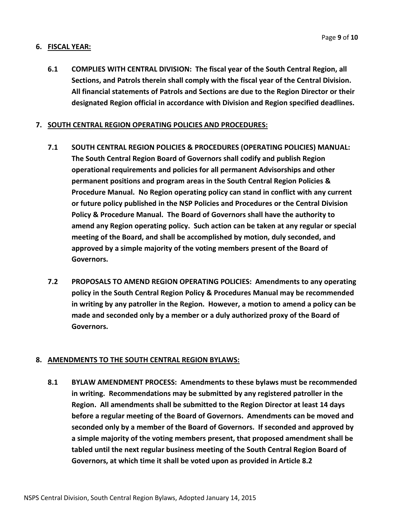#### **6. FISCAL YEAR:**

**6.1 COMPLIES WITH CENTRAL DIVISION: The fiscal year of the South Central Region, all Sections, and Patrols therein shall comply with the fiscal year of the Central Division. All financial statements of Patrols and Sections are due to the Region Director or their designated Region official in accordance with Division and Region specified deadlines.**

#### **7. SOUTH CENTRAL REGION OPERATING POLICIES AND PROCEDURES:**

- **7.1 SOUTH CENTRAL REGION POLICIES & PROCEDURES (OPERATING POLICIES) MANUAL: The South Central Region Board of Governors shall codify and publish Region operational requirements and policies for all permanent Advisorships and other permanent positions and program areas in the South Central Region Policies & Procedure Manual. No Region operating policy can stand in conflict with any current or future policy published in the NSP Policies and Procedures or the Central Division Policy & Procedure Manual. The Board of Governors shall have the authority to amend any Region operating policy. Such action can be taken at any regular or special meeting of the Board, and shall be accomplished by motion, duly seconded, and approved by a simple majority of the voting members present of the Board of Governors.**
- **7.2 PROPOSALS TO AMEND REGION OPERATING POLICIES: Amendments to any operating policy in the South Central Region Policy & Procedures Manual may be recommended in writing by any patroller in the Region. However, a motion to amend a policy can be made and seconded only by a member or a duly authorized proxy of the Board of Governors.**

#### **8. AMENDMENTS TO THE SOUTH CENTRAL REGION BYLAWS:**

**8.1 BYLAW AMENDMENT PROCESS: Amendments to these bylaws must be recommended in writing. Recommendations may be submitted by any registered patroller in the Region. All amendments shall be submitted to the Region Director at least 14 days before a regular meeting of the Board of Governors. Amendments can be moved and seconded only by a member of the Board of Governors. If seconded and approved by a simple majority of the voting members present, that proposed amendment shall be tabled until the next regular business meeting of the South Central Region Board of Governors, at which time it shall be voted upon as provided in Article 8.2**